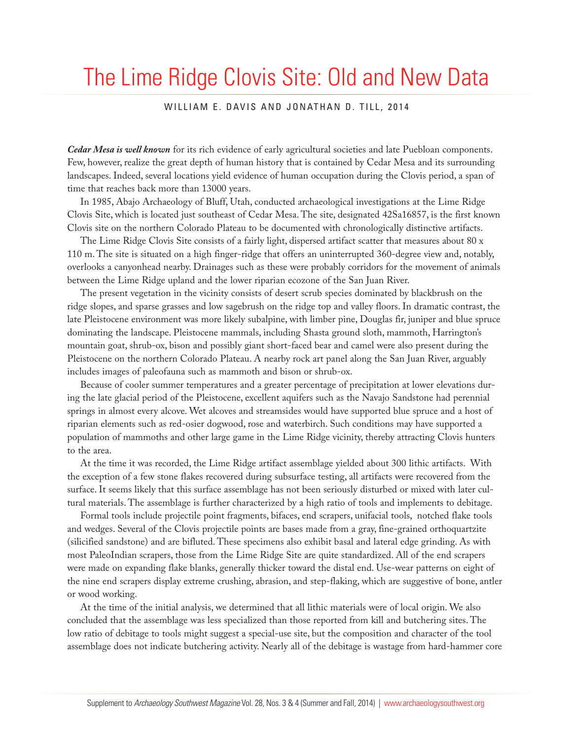## The Lime Ridge Clovis Site: Old and New Data

## WILLIAM E. DAVIS AND JONATHAN D. TILL, 2014

*Cedar Mesa is well known* for its rich evidence of early agricultural societies and late Puebloan components. Few, however, realize the great depth of human history that is contained by Cedar Mesa and its surrounding landscapes. Indeed, several locations yield evidence of human occupation during the Clovis period, a span of time that reaches back more than 13000 years.

In 1985, Abajo Archaeology of Bluff, Utah, conducted archaeological investigations at the Lime Ridge Clovis Site, which is located just southeast of Cedar Mesa. The site, designated 42Sa16857, is the first known Clovis site on the northern Colorado Plateau to be documented with chronologically distinctive artifacts.

The Lime Ridge Clovis Site consists of a fairly light, dispersed artifact scatter that measures about 80 x 110 m. The site is situated on a high finger-ridge that offers an uninterrupted 360-degree view and, notably, overlooks a canyonhead nearby. Drainages such as these were probably corridors for the movement of animals between the Lime Ridge upland and the lower riparian ecozone of the San Juan River.

The present vegetation in the vicinity consists of desert scrub species dominated by blackbrush on the ridge slopes, and sparse grasses and low sagebrush on the ridge top and valley floors. In dramatic contrast, the late Pleistocene environment was more likely subalpine, with limber pine, Douglas fir, juniper and blue spruce dominating the landscape. Pleistocene mammals, including Shasta ground sloth, mammoth, Harrington's mountain goat, shrub-ox, bison and possibly giant short-faced bear and camel were also present during the Pleistocene on the northern Colorado Plateau. A nearby rock art panel along the San Juan River, arguably includes images of paleofauna such as mammoth and bison or shrub-ox.

Because of cooler summer temperatures and a greater percentage of precipitation at lower elevations during the late glacial period of the Pleistocene, excellent aquifers such as the Navajo Sandstone had perennial springs in almost every alcove. Wet alcoves and streamsides would have supported blue spruce and a host of riparian elements such as red-osier dogwood, rose and waterbirch. Such conditions may have supported a population of mammoths and other large game in the Lime Ridge vicinity, thereby attracting Clovis hunters to the area.

At the time it was recorded, the Lime Ridge artifact assemblage yielded about 300 lithic artifacts. With the exception of a few stone flakes recovered during subsurface testing, all artifacts were recovered from the surface. It seems likely that this surface assemblage has not been seriously disturbed or mixed with later cultural materials. The assemblage is further characterized by a high ratio of tools and implements to debitage.

Formal tools include projectile point fragments, bifaces, end scrapers, unifacial tools, notched flake tools and wedges. Several of the Clovis projectile points are bases made from a gray, fine-grained orthoquartzite (silicified sandstone) and are bifluted. These specimens also exhibit basal and lateral edge grinding. As with most PaleoIndian scrapers, those from the Lime Ridge Site are quite standardized. All of the end scrapers were made on expanding flake blanks, generally thicker toward the distal end. Use-wear patterns on eight of the nine end scrapers display extreme crushing, abrasion, and step-flaking, which are suggestive of bone, antler or wood working.

At the time of the initial analysis, we determined that all lithic materials were of local origin. We also concluded that the assemblage was less specialized than those reported from kill and butchering sites. The low ratio of debitage to tools might suggest a special-use site, but the composition and character of the tool assemblage does not indicate butchering activity. Nearly all of the debitage is wastage from hard-hammer core